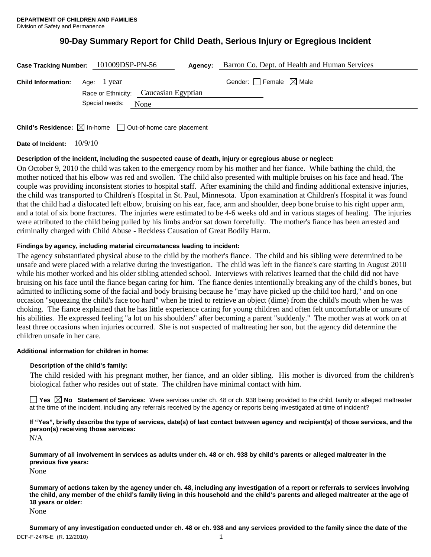# **90-Day Summary Report for Child Death, Serious Injury or Egregious Incident**

|                                       | Case Tracking Number: 101009DSP-PN-56<br>Agency:                | Barron Co. Dept. of Health and Human Services |
|---------------------------------------|-----------------------------------------------------------------|-----------------------------------------------|
| <b>Child Information:</b> Age: 1 year | Race or Ethnicity: Caucasian Egyptian<br>Special needs:<br>None | Gender: $\Box$ Female $\boxtimes$ Male        |
|                                       |                                                                 |                                               |

**Child's Residence:**  $\boxtimes$  In-home  $\Box$  Out-of-home care placement

**Date of Incident:** 10/9/10

# **Description of the incident, including the suspected cause of death, injury or egregious abuse or neglect:**

On October 9, 2010 the child was taken to the emergency room by his mother and her fiance. While bathing the child, the mother noticed that his elbow was red and swollen. The child also presented with multiple bruises on his face and head. The couple was providing inconsistent stories to hospital staff. After examining the child and finding additional extensive injuries, the child was transported to Children's Hospital in St. Paul, Minnesota. Upon examination at Children's Hospital it was found that the child had a dislocated left elbow, bruising on his ear, face, arm and shoulder, deep bone bruise to his right upper arm, and a total of six bone fractures. The injuries were estimated to be 4-6 weeks old and in various stages of healing. The injuries were attributed to the child being pulled by his limbs and/or sat down forcefully. The mother's fiance has been arrested and criminally charged with Child Abuse - Reckless Causation of Great Bodily Harm.

# **Findings by agency, including material circumstances leading to incident:**

The agency substantiated physical abuse to the child by the mother's fiance. The child and his sibling were determined to be unsafe and were placed with a relative during the investigation. The child was left in the fiance's care starting in August 2010 while his mother worked and his older sibling attended school. Interviews with relatives learned that the child did not have bruising on his face until the fiance began caring for him. The fiance denies intentionally breaking any of the child's bones, but admitted to inflicting some of the facial and body bruising because he "may have picked up the child too hard," and on one occasion "squeezing the child's face too hard" when he tried to retrieve an object (dime) from the child's mouth when he was choking. The fiance explained that he has little experience caring for young children and often felt uncomfortable or unsure of his abilities. He expressed feeling "a lot on his shoulders" after becoming a parent "suddenly." The mother was at work on at least three occasions when injuries occurred. She is not suspected of maltreating her son, but the agency did determine the children unsafe in her care.

# **Additional information for children in home:**

# **Description of the child's family:**

 The child resided with his pregnant mother, her fiance, and an older sibling. His mother is divorced from the children's biological father who resides out of state. The children have minimal contact with him.

**Yes**  $\boxtimes$  **No** Statement of Services: Were services under ch. 48 or ch. 938 being provided to the child, family or alleged maltreater at the time of the incident, including any referrals received by the agency or reports being investigated at time of incident?

**If "Yes", briefly describe the type of services, date(s) of last contact between agency and recipient(s) of those services, and the person(s) receiving those services:** 

N/A

**Summary of all involvement in services as adults under ch. 48 or ch. 938 by child's parents or alleged maltreater in the previous five years:** 

None

**Summary of actions taken by the agency under ch. 48, including any investigation of a report or referrals to services involving the child, any member of the child's family living in this household and the child's parents and alleged maltreater at the age of 18 years or older:** 

None

DCF-F-2476-E (R. 12/2010) 1 **Summary of any investigation conducted under ch. 48 or ch. 938 and any services provided to the family since the date of the**